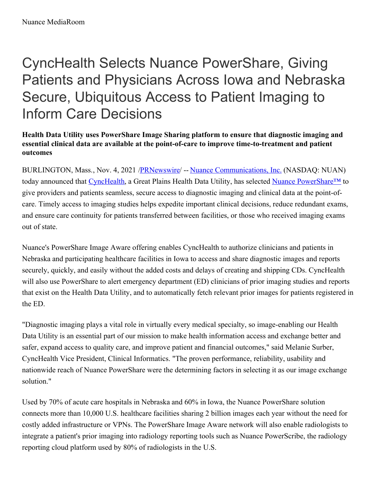# CyncHealth Selects Nuance PowerShare, Giving Patients and Physicians Across Iowa and Nebraska Secure, Ubiquitous Access to Patient Imaging to Inform Care Decisions

# **Health Data Utility uses PowerShare Image Sharing platform to ensure that diagnostic imaging and essential clinical data are available at the point-of-care to improve time-to-treatment and patient outcomes**

BURLINGTON, Mass., Nov. 4, 2021 [/PRNewswire](http://www.prnewswire.com/)/ -- Nuance [Communications,](https://c212.net/c/link/?t=0&l=en&o=3346715-1&h=937000857&u=https%3A%2F%2Fc212.net%2Fc%2Flink%2F%3Ft%3D0%26l%3Den%26o%3D3294164-1%26h%3D1792943669%26u%3Dhttps%253A%252F%252Fc212.net%252Fc%252Flink%252F%253Ft%253D0%2526l%253Den%2526o%253D3190082-1%2526h%253D1111144084%2526u%253Dhttps%25253A%25252F%25252Fc212.net%25252Fc%25252Flink%25252F%25253Ft%25253D0%252526l%25253Den%252526o%25253D3066734-1%252526h%25253D3366187871%252526u%25253Dhttps%2525253A%2525252F%2525252Fwww.nuance.com%2525252Findex.html%252526a%25253DNuance%25252BCommunications%2525252C%25252BInc.%2526a%253DNuance%252BCommunications%25252C%252BInc.%26a%3DNuance%2BCommunications%252C%2BInc.&a=Nuance+Communications%2C+Inc.) Inc. (NASDAQ: NUAN) today announced that [CyncHealth](https://c212.net/c/link/?t=0&l=en&o=3346715-1&h=4258196564&u=http%3A%2F%2Fwww.cynchealth.org%2F&a=CyncHealth), a Great Plains Health Data Utility, has selected Nuance [PowerShare™](https://c212.net/c/link/?t=0&l=en&o=3346715-1&h=4267858035&u=https%3A%2F%2Fc212.net%2Fc%2Flink%2F%3Ft%3D0%26l%3Den%26o%3D2840946-1%26h%3D2831147863%26u%3Dhttps%253A%252F%252Fwww.nuance.com%252Fhealthcare%252Fdiagnostics-solutions%252Fradiology-network%252Fpowershare-medical-image-sharing.html%26a%3DPowerShare%25E2%2584%25A2%2BNetwork&a=Nuance+PowerShare%E2%84%A2) to give providers and patients seamless, secure access to diagnostic imaging and clinical data at the point-ofcare. Timely access to imaging studies helps expedite important clinical decisions, reduce redundant exams, and ensure care continuity for patients transferred between facilities, or those who received imaging exams out of state.

Nuance's PowerShare Image Aware offering enables CyncHealth to authorize clinicians and patients in Nebraska and participating healthcare facilities in Iowa to access and share diagnostic images and reports securely, quickly, and easily without the added costs and delays of creating and shipping CDs. CyncHealth will also use PowerShare to alert emergency department (ED) clinicians of prior imaging studies and reports that exist on the Health Data Utility, and to automatically fetch relevant prior images for patients registered in the ED.

"Diagnostic imaging plays a vital role in virtually every medical specialty, so image-enabling our Health Data Utility is an essential part of our mission to make health information access and exchange better and safer, expand access to quality care, and improve patient and financial outcomes," said Melanie Surber, CyncHealth Vice President, Clinical Informatics. "The proven performance, reliability, usability and nationwide reach of Nuance PowerShare were the determining factors in selecting it as our image exchange solution."

Used by 70% of acute care hospitals in Nebraska and 60% in Iowa, the Nuance PowerShare solution connects more than 10,000 U.S. healthcare facilities sharing 2 billion images each year without the need for costly added infrastructure or VPNs. The PowerShare Image Aware network will also enable radiologists to integrate a patient's prior imaging into radiology reporting tools such as Nuance PowerScribe, the radiology reporting cloud platform used by 80% of radiologists in the U.S.